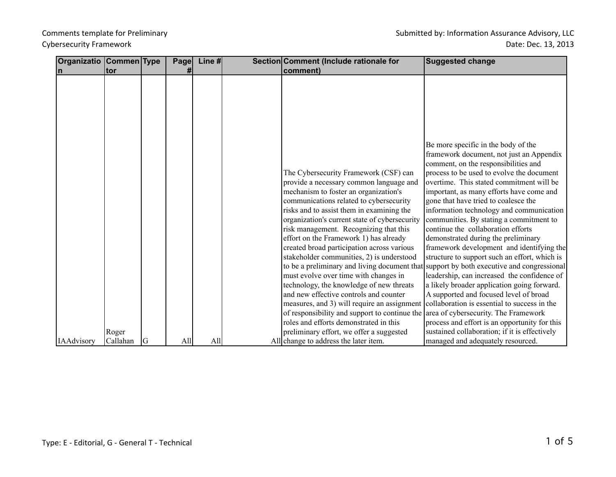| Organizatio Commen Type |            |    | Page | Line # | Section Comment (Include rationale for                                                  | <b>Suggested change</b>                                                                  |
|-------------------------|------------|----|------|--------|-----------------------------------------------------------------------------------------|------------------------------------------------------------------------------------------|
| $\mathsf{n}$            | <b>tor</b> |    |      |        | comment)                                                                                |                                                                                          |
|                         |            |    |      |        |                                                                                         |                                                                                          |
|                         |            |    |      |        |                                                                                         |                                                                                          |
|                         |            |    |      |        |                                                                                         |                                                                                          |
|                         |            |    |      |        |                                                                                         |                                                                                          |
|                         |            |    |      |        |                                                                                         |                                                                                          |
|                         |            |    |      |        |                                                                                         |                                                                                          |
|                         |            |    |      |        |                                                                                         | Be more specific in the body of the                                                      |
|                         |            |    |      |        |                                                                                         | framework document, not just an Appendix                                                 |
|                         |            |    |      |        |                                                                                         | comment, on the responsibilities and                                                     |
|                         |            |    |      |        | The Cybersecurity Framework (CSF) can                                                   | process to be used to evolve the document                                                |
|                         |            |    |      |        | provide a necessary common language and                                                 | overtime. This stated commitment will be                                                 |
|                         |            |    |      |        | mechanism to foster an organization's                                                   | important, as many efforts have come and                                                 |
|                         |            |    |      |        | communications related to cybersecurity                                                 | gone that have tried to coalesce the                                                     |
|                         |            |    |      |        | risks and to assist them in examining the                                               | information technology and communication<br>communities. By stating a commitment to      |
|                         |            |    |      |        | organization's current state of cybersecurity<br>risk management. Recognizing that this | continue the collaboration efforts                                                       |
|                         |            |    |      |        | effort on the Framework 1) has already                                                  | demonstrated during the preliminary                                                      |
|                         |            |    |      |        | created broad participation across various                                              | framework development and identifying the                                                |
|                         |            |    |      |        | stakeholder communities, 2) is understood                                               | structure to support such an effort, which is                                            |
|                         |            |    |      |        |                                                                                         | to be a preliminary and living document that support by both executive and congressional |
|                         |            |    |      |        | must evolve over time with changes in                                                   | leadership, can increased the confidence of                                              |
|                         |            |    |      |        | technology, the knowledge of new threats                                                | a likely broader application going forward.                                              |
|                         |            |    |      |        | and new effective controls and counter                                                  | A supported and focused level of broad                                                   |
|                         |            |    |      |        | measures, and 3) will require an assignment                                             | collaboration is essential to success in the                                             |
|                         |            |    |      |        | of responsibility and support to continue the area of cybersecurity. The Framework      |                                                                                          |
|                         |            |    |      |        | roles and efforts demonstrated in this                                                  | process and effort is an opportunity for this                                            |
|                         | Roger      |    |      |        | preliminary effort, we offer a suggested                                                | sustained collaboration; if it is effectively                                            |
| <b>IAAdvisory</b>       | Callahan   | IG | All  | All    | All change to address the later item.                                                   | managed and adequately resourced.                                                        |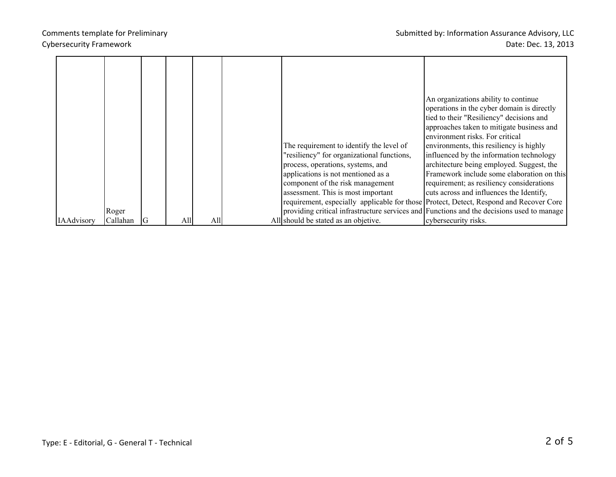|            |          |    |     |     |                                                                                           | An organizations ability to continue       |
|------------|----------|----|-----|-----|-------------------------------------------------------------------------------------------|--------------------------------------------|
|            |          |    |     |     |                                                                                           | operations in the cyber domain is directly |
|            |          |    |     |     |                                                                                           | tied to their "Resiliency" decisions and   |
|            |          |    |     |     |                                                                                           | approaches taken to mitigate business and  |
|            |          |    |     |     |                                                                                           | environment risks. For critical            |
|            |          |    |     |     | The requirement to identify the level of                                                  | environments, this resiliency is highly    |
|            |          |    |     |     | "resiliency" for organizational functions,                                                | influenced by the information technology   |
|            |          |    |     |     | process, operations, systems, and                                                         | architecture being employed. Suggest, the  |
|            |          |    |     |     | applications is not mentioned as a                                                        | Framework include some elaboration on this |
|            |          |    |     |     | component of the risk management                                                          | requirement; as resiliency considerations  |
|            |          |    |     |     | assessment. This is most important                                                        | cuts across and influences the Identify,   |
|            |          |    |     |     | requirement, especially applicable for those Protect, Detect, Respond and Recover Core    |                                            |
|            | Roger    |    |     |     | providing critical infrastructure services and Functions and the decisions used to manage |                                            |
| IAAdvisory | Callahan | IG | A11 | All | All should be stated as an objetive.                                                      | cybersecurity risks.                       |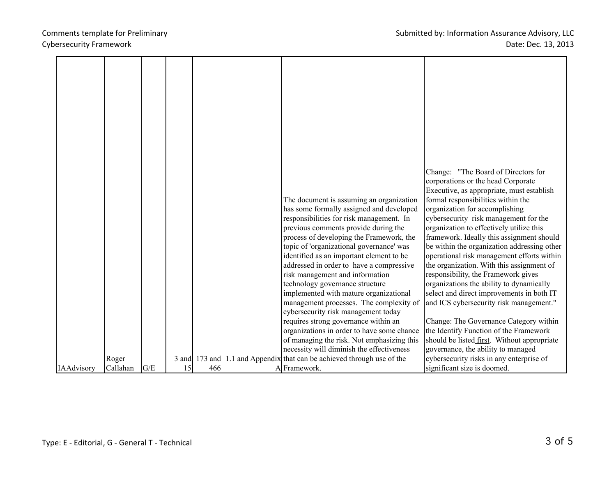## Cybersecurity Framework

|                   |          |     |    |     | The document is assuming an organization<br>has some formally assigned and developed<br>responsibilities for risk management. In<br>previous comments provide during the<br>process of developing the Framework, the<br>topic of 'organizational governance' was<br>identified as an important element to be<br>addressed in order to have a compressive<br>risk management and information<br>technology governance structure<br>implemented with mature organizational<br>management processes. The complexity of<br>cybersecurity risk management today<br>requires strong governance within an<br>organizations in order to have some chance<br>of managing the risk. Not emphasizing this | Change: "The Board of Directors for<br>corporations or the head Corporate<br>Executive, as appropriate, must establish<br>formal responsibilities within the<br>organization for accomplishing<br>cybersecurity risk management for the<br>organization to effectively utilize this<br>framework. Ideally this assignment should<br>be within the organization addressing other<br>operational risk management efforts within<br>the organization. With this assignment of<br>responsibility, the Framework gives<br>organizations the ability to dynamically<br>select and direct improvements in both IT<br>and ICS cybersecurity risk management."<br>Change: The Governance Category within<br>the Identify Function of the Framework<br>should be listed first. Without appropriate |
|-------------------|----------|-----|----|-----|------------------------------------------------------------------------------------------------------------------------------------------------------------------------------------------------------------------------------------------------------------------------------------------------------------------------------------------------------------------------------------------------------------------------------------------------------------------------------------------------------------------------------------------------------------------------------------------------------------------------------------------------------------------------------------------------|------------------------------------------------------------------------------------------------------------------------------------------------------------------------------------------------------------------------------------------------------------------------------------------------------------------------------------------------------------------------------------------------------------------------------------------------------------------------------------------------------------------------------------------------------------------------------------------------------------------------------------------------------------------------------------------------------------------------------------------------------------------------------------------|
|                   |          |     |    |     |                                                                                                                                                                                                                                                                                                                                                                                                                                                                                                                                                                                                                                                                                                |                                                                                                                                                                                                                                                                                                                                                                                                                                                                                                                                                                                                                                                                                                                                                                                          |
|                   |          |     |    |     | necessity will diminish the effectiveness                                                                                                                                                                                                                                                                                                                                                                                                                                                                                                                                                                                                                                                      | governance, the ability to managed                                                                                                                                                                                                                                                                                                                                                                                                                                                                                                                                                                                                                                                                                                                                                       |
|                   | Roger    |     |    |     | 3 and 173 and 1.1 and Appendix that can be achieved through use of the                                                                                                                                                                                                                                                                                                                                                                                                                                                                                                                                                                                                                         | cybersecurity risks in any enterprise of                                                                                                                                                                                                                                                                                                                                                                                                                                                                                                                                                                                                                                                                                                                                                 |
| <b>IAAdvisory</b> | Callahan | G/E | 15 | 466 | A Framework.                                                                                                                                                                                                                                                                                                                                                                                                                                                                                                                                                                                                                                                                                   | significant size is doomed.                                                                                                                                                                                                                                                                                                                                                                                                                                                                                                                                                                                                                                                                                                                                                              |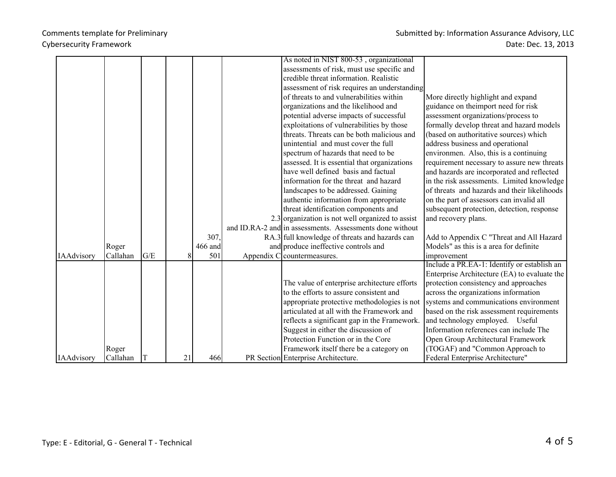|                   |          |     |    |         | As noted in NIST 800-53, organizational                  |                                              |
|-------------------|----------|-----|----|---------|----------------------------------------------------------|----------------------------------------------|
|                   |          |     |    |         | assessments of risk, must use specific and               |                                              |
|                   |          |     |    |         | credible threat information. Realistic                   |                                              |
|                   |          |     |    |         | assessment of risk requires an understanding             |                                              |
|                   |          |     |    |         | of threats to and vulnerabilities within                 | More directly highlight and expand           |
|                   |          |     |    |         | organizations and the likelihood and                     | guidance on the import need for risk         |
|                   |          |     |    |         | potential adverse impacts of successful                  | assessment organizations/process to          |
|                   |          |     |    |         | exploitations of vulnerabilities by those                | formally develop threat and hazard models    |
|                   |          |     |    |         | threats. Threats can be both malicious and               | (based on authoritative sources) which       |
|                   |          |     |    |         | unintential and must cover the full                      | address business and operational             |
|                   |          |     |    |         | spectrum of hazards that need to be                      | environmen. Also, this is a continuing       |
|                   |          |     |    |         | assessed. It is essential that organizations             | requirement necessary to assure new threats  |
|                   |          |     |    |         | have well defined basis and factual                      | and hazards are incorporated and reflected   |
|                   |          |     |    |         | information for the threat and hazard                    | in the risk assessments. Limited knowledge   |
|                   |          |     |    |         | landscapes to be addressed. Gaining                      | of threats and hazards and their likelihoods |
|                   |          |     |    |         | authentic information from appropriate                   | on the part of assessors can invalid all     |
|                   |          |     |    |         | threat identification components and                     | subsequent protection, detection, response   |
|                   |          |     |    |         | 2.3 organization is not well organized to assist         | and recovery plans.                          |
|                   |          |     |    |         | and ID.RA-2 and in assessments. Assessments done without |                                              |
|                   |          |     |    | 307.    | RA.3 full knowledge of threats and hazards can           | Add to Appendix C "Threat and All Hazard     |
|                   | Roger    |     |    | 466 and | and produce ineffective controls and                     | Models" as this is a area for definite       |
| <b>IAAdvisory</b> | Callahan | G/E | 8  | 501     | Appendix C countermeasures.                              | improvement                                  |
|                   |          |     |    |         |                                                          | Include a PR.EA-1: Identify or establish an  |
|                   |          |     |    |         |                                                          | Enterprise Architecture (EA) to evaluate the |
|                   |          |     |    |         | The value of enterprise architecture efforts             | protection consistency and approaches        |
|                   |          |     |    |         | to the efforts to assure consistent and                  | across the organizations information         |
|                   |          |     |    |         | appropriate protective methodologies is not              | systems and communications environment       |
|                   |          |     |    |         | articulated at all with the Framework and                | based on the risk assessment requirements    |
|                   |          |     |    |         | reflects a significant gap in the Framework.             | and technology employed. Useful              |
|                   |          |     |    |         | Suggest in either the discussion of                      | Information references can include The       |
|                   |          |     |    |         | Protection Function or in the Core                       | Open Group Architectural Framework           |
|                   | Roger    |     |    |         | Framework itself there be a category on                  | (TOGAF) and "Common Approach to              |
| <b>IAAdvisory</b> | Callahan |     | 21 | 466     | PR Section Enterprise Architecture.                      | Federal Enterprise Architecture"             |

e.